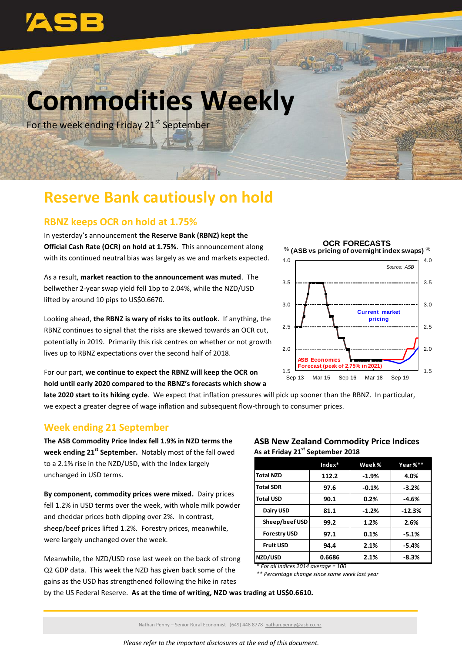

# **Commodities Weekly**

For the week ending Friday 21<sup>st</sup> September

## **Reserve Bank cautiously on hold**

### **RBNZ keeps OCR on hold at 1.75%**

In yesterday's announcement **the Reserve Bank (RBNZ) kept the Official Cash Rate (OCR) on hold at 1.75%**. This announcement along with its continued neutral bias was largely as we and markets expected.

As a result, **market reaction to the announcement was muted**. The bellwether 2-year swap yield fell 1bp to 2.04%, while the NZD/USD lifted by around 10 pips to US\$0.6670.

Looking ahead, **the RBNZ is wary of risks to its outlook**. If anything, the RBNZ continues to signal that the risks are skewed towards an OCR cut, potentially in 2019. Primarily this risk centres on whether or not growth lives up to RBNZ expectations over the second half of 2018.



For our part, **we continue to expect the RBNZ will keep the OCR on hold until early 2020 compared to the RBNZ's forecasts which show a** 

**late 2020 start to its hiking cycle**. We expect that inflation pressures will pick up sooner than the RBNZ. In particular, we expect a greater degree of wage inflation and subsequent flow-through to consumer prices.

#### **Week ending 21 September**

**The ASB Commodity Price Index fell 1.9% in NZD terms the week ending 21 st September.** Notably most of the fall owed to a 2.1% rise in the NZD/USD, with the Index largely unchanged in USD terms.

**By component, commodity prices were mixed.** Dairy prices fell 1.2% in USD terms over the week, with whole milk powder and cheddar prices both dipping over 2%. In contrast, sheep/beef prices lifted 1.2%. Forestry prices, meanwhile, were largely unchanged over the week.

Meanwhile, the NZD/USD rose last week on the back of strong Q2 GDP data. This week the NZD has given back some of the gains as the USD has strengthened following the hike in rates

#### **ASB New Zealand Commodity Price Indices As at Friday 21st September 2018**

|                     | $Index*$ | Week%   | Year %** |
|---------------------|----------|---------|----------|
| <b>Total NZD</b>    | 112.2    | $-1.9%$ | 4.0%     |
| <b>Total SDR</b>    | 97.6     | $-0.1%$ | $-3.2%$  |
| <b>Total USD</b>    | 90.1     | 0.2%    | $-4.6%$  |
| Dairy USD           | 81.1     | $-1.2%$ | $-12.3%$ |
| Sheep/beef USD      | 99.2     | 1.2%    | 2.6%     |
| <b>Forestry USD</b> | 97.1     | 0.1%    | $-5.1%$  |
| <b>Fruit USD</b>    | 94.4     | 2.1%    | $-5.4%$  |
| NZD/USD             | 0.6686   | 2.1%    | $-8.3%$  |

*\* For all indices 2014 average = 100*

*\*\* Percentage change since same week last year*

by the US Federal Reserve. **As at the time of writing, NZD was trading at US\$0.6610.**

Nathan Penny – Senior Rural Economist (649) 448 8778 [nathan.penny@asb.co.nz](mailto:nathan.penny@asb.co.nz)